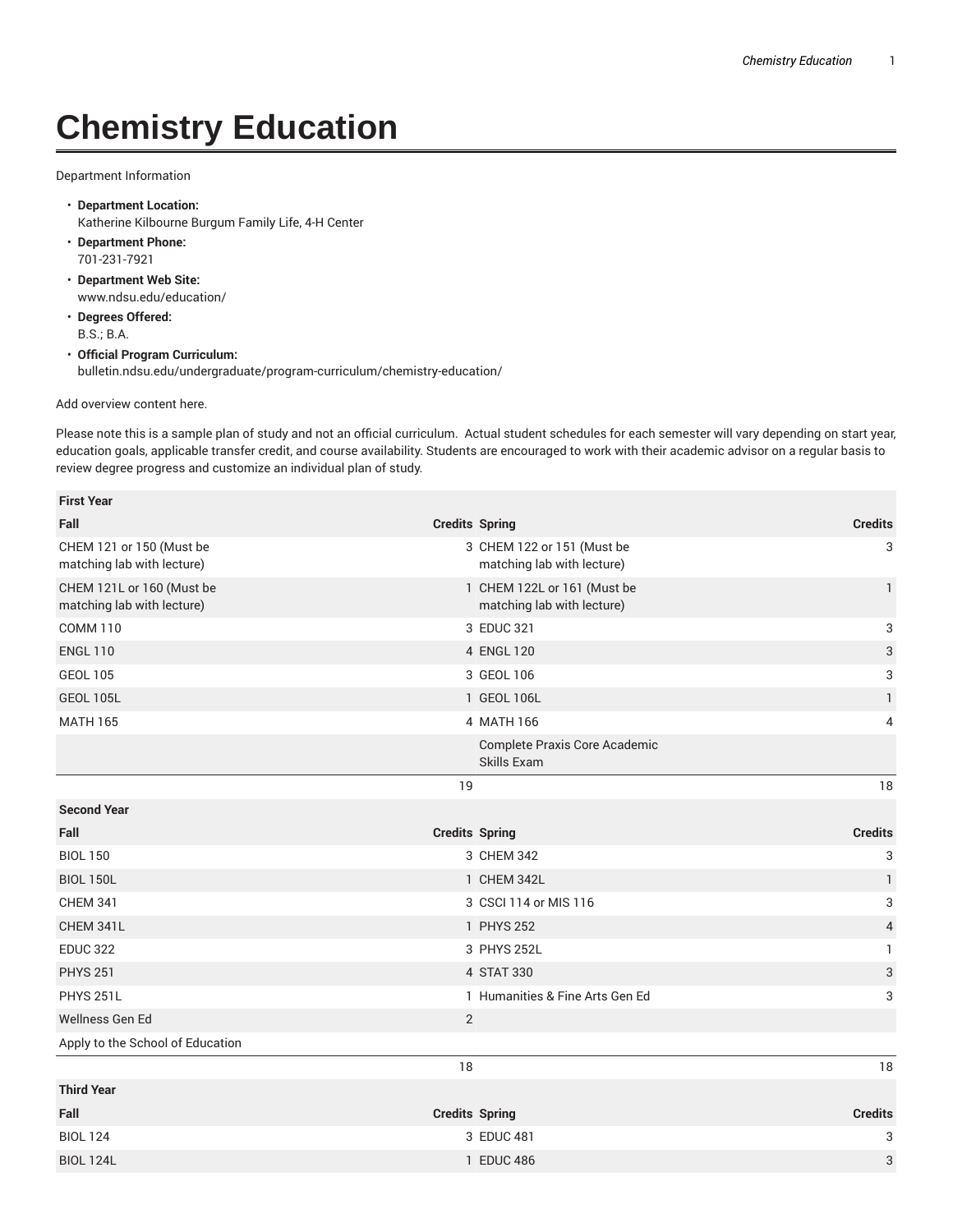## **Chemistry Education**

Department Information

- **Department Location:** Katherine Kilbourne Burgum Family Life, 4-H Center
- **Department Phone:** 701-231-7921
- **Department Web Site:** www.ndsu.edu/education/
- **Degrees Offered:** B.S.; B.A.
- **Official Program Curriculum:** bulletin.ndsu.edu/undergraduate/program-curriculum/chemistry-education/

Add overview content here.

**First Year**

Please note this is a sample plan of study and not an official curriculum. Actual student schedules for each semester will vary depending on start year, education goals, applicable transfer credit, and course availability. Students are encouraged to work with their academic advisor on a regular basis to review degree progress and customize an individual plan of study.

| First Year                                                                                                       |                                        |                                                           |                           |
|------------------------------------------------------------------------------------------------------------------|----------------------------------------|-----------------------------------------------------------|---------------------------|
| Fall                                                                                                             |                                        | <b>Credits Spring</b>                                     | <b>Credits</b>            |
| CHEM 121 or 150 (Must be<br>matching lab with lecture)                                                           |                                        | 3 CHEM 122 or 151 (Must be<br>matching lab with lecture)  | 3                         |
| CHEM 121L or 160 (Must be<br>matching lab with lecture)<br><b>COMM 110</b><br><b>ENGL 110</b><br><b>GEOL 105</b> |                                        | 1 CHEM 122L or 161 (Must be<br>matching lab with lecture) | $\mathbf{1}$              |
|                                                                                                                  | 3 EDUC 321<br>4 ENGL 120<br>3 GEOL 106 |                                                           | 3                         |
|                                                                                                                  |                                        |                                                           | 3                         |
|                                                                                                                  |                                        |                                                           | 3                         |
| <b>GEOL 105L</b>                                                                                                 |                                        | 1 GEOL 106L                                               | 1                         |
| <b>MATH 165</b>                                                                                                  |                                        | 4 MATH 166                                                | 4                         |
|                                                                                                                  |                                        | Complete Praxis Core Academic<br>Skills Exam              |                           |
|                                                                                                                  | 19                                     |                                                           | 18                        |
| <b>Second Year</b>                                                                                               |                                        |                                                           |                           |
| Fall                                                                                                             |                                        | <b>Credits Spring</b>                                     | <b>Credits</b>            |
| <b>BIOL 150</b>                                                                                                  |                                        | 3 CHEM 342                                                | 3                         |
| <b>BIOL 150L</b>                                                                                                 |                                        | 1 CHEM 342L                                               | $\mathbf{1}$              |
| <b>CHEM 341</b>                                                                                                  | 3 CSCI 114 or MIS 116                  |                                                           | 3                         |
| CHEM 341L                                                                                                        |                                        | 1 PHYS 252                                                | $\overline{4}$            |
| <b>EDUC 322</b>                                                                                                  |                                        | 3 PHYS 252L                                               | $\mathbf{1}$              |
| <b>PHYS 251</b>                                                                                                  |                                        | 4 STAT 330                                                | $\ensuremath{\mathsf{3}}$ |
| PHYS 251L                                                                                                        |                                        | 1 Humanities & Fine Arts Gen Ed                           | 3                         |
| Wellness Gen Ed                                                                                                  | 2                                      |                                                           |                           |
| Apply to the School of Education                                                                                 |                                        |                                                           |                           |
|                                                                                                                  | 18                                     |                                                           | 18                        |
| <b>Third Year</b>                                                                                                |                                        |                                                           |                           |
| Fall                                                                                                             |                                        | <b>Credits Spring</b>                                     | <b>Credits</b>            |
| <b>BIOL 124</b>                                                                                                  |                                        | 3 EDUC 481                                                | 3                         |
| <b>BIOL 124L</b>                                                                                                 |                                        | 1 EDUC 486                                                | 3                         |